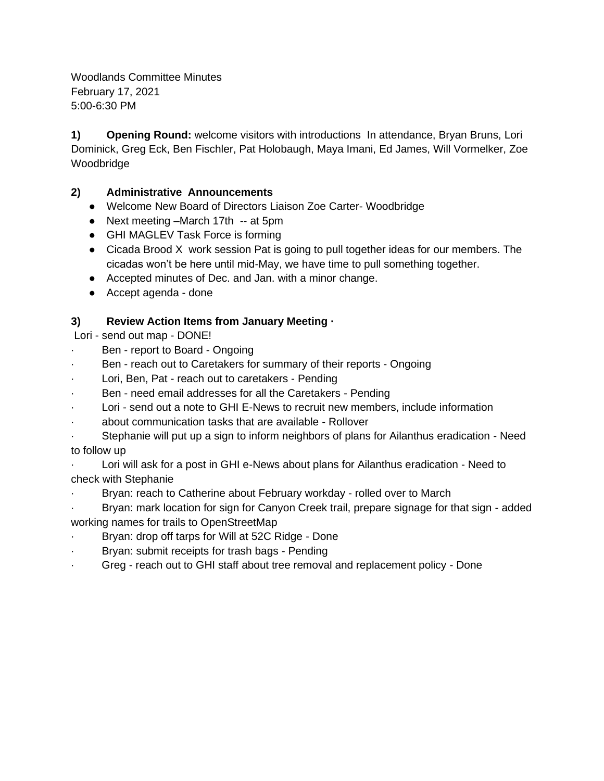Woodlands Committee Minutes February 17, 2021 5:00-6:30 PM

**1) Opening Round:** welcome visitors with introductions In attendance, Bryan Bruns, Lori Dominick, Greg Eck, Ben Fischler, Pat Holobaugh, Maya Imani, Ed James, Will Vormelker, Zoe Woodbridge

## **2) Administrative Announcements**

- Welcome New Board of Directors Liaison Zoe Carter- Woodbridge
- Next meeting –March 17th -- at 5pm
- GHI MAGLEV Task Force is forming
- Cicada Brood X work session Pat is going to pull together ideas for our members. The cicadas won't be here until mid-May, we have time to pull something together.
- Accepted minutes of Dec. and Jan. with a minor change.
- Accept agenda done

# **3) Review Action Items from January Meeting ·**

Lori - send out map - DONE!

- Ben report to Board Ongoing
- Ben reach out to Caretakers for summary of their reports Ongoing
- Lori, Ben, Pat reach out to caretakers Pending
- Ben need email addresses for all the Caretakers Pending
- Lori send out a note to GHI E-News to recruit new members, include information
- about communication tasks that are available Rollover

Stephanie will put up a sign to inform neighbors of plans for Ailanthus eradication - Need to follow up

Lori will ask for a post in GHI e-News about plans for Ailanthus eradication - Need to check with Stephanie

Bryan: reach to Catherine about February workday - rolled over to March

Bryan: mark location for sign for Canyon Creek trail, prepare signage for that sign - added working names for trails to OpenStreetMap

- Bryan: drop off tarps for Will at 52C Ridge Done
- Bryan: submit receipts for trash bags Pending
- · Greg reach out to GHI staff about tree removal and replacement policy Done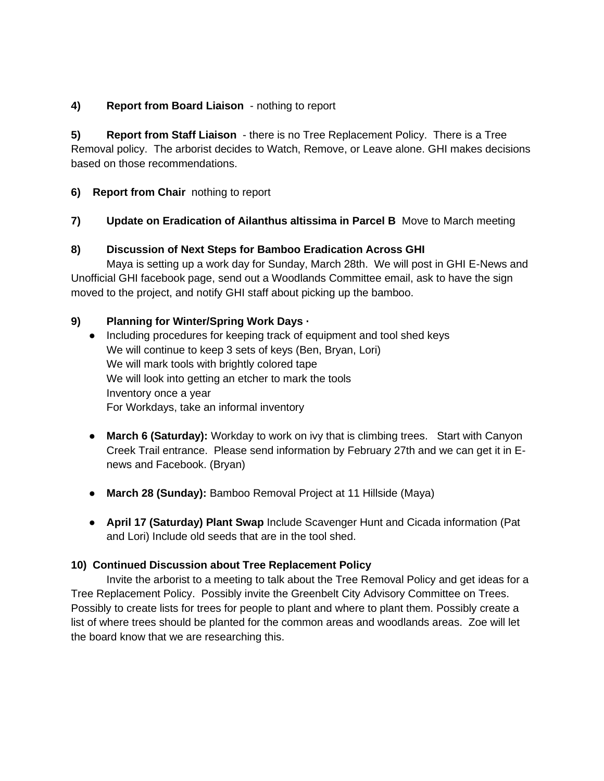## **4) Report from Board Liaison** - nothing to report

**5) Report from Staff Liaison** - there is no Tree Replacement Policy. There is a Tree Removal policy. The arborist decides to Watch, Remove, or Leave alone. GHI makes decisions based on those recommendations.

## **6) Report from Chair** nothing to report

# **7) Update on Eradication of Ailanthus altissima in Parcel B** Move to March meeting

## **8) Discussion of Next Steps for Bamboo Eradication Across GHI**

Maya is setting up a work day for Sunday, March 28th. We will post in GHI E-News and Unofficial GHI facebook page, send out a Woodlands Committee email, ask to have the sign moved to the project, and notify GHI staff about picking up the bamboo.

## **9) Planning for Winter/Spring Work Days ·**

● Including procedures for keeping track of equipment and tool shed keys We will continue to keep 3 sets of keys (Ben, Bryan, Lori) We will mark tools with brightly colored tape We will look into getting an etcher to mark the tools Inventory once a year For Workdays, take an informal inventory

- March 6 (Saturday): Workday to work on ivy that is climbing trees. Start with Canyon Creek Trail entrance. Please send information by February 27th and we can get it in Enews and Facebook. (Bryan)
- **March 28 (Sunday):** Bamboo Removal Project at 11 Hillside (Maya)
- **April 17 (Saturday) Plant Swap** Include Scavenger Hunt and Cicada information (Pat and Lori) Include old seeds that are in the tool shed.

## **10) Continued Discussion about Tree Replacement Policy**

Invite the arborist to a meeting to talk about the Tree Removal Policy and get ideas for a Tree Replacement Policy. Possibly invite the Greenbelt City Advisory Committee on Trees. Possibly to create lists for trees for people to plant and where to plant them. Possibly create a list of where trees should be planted for the common areas and woodlands areas. Zoe will let the board know that we are researching this.